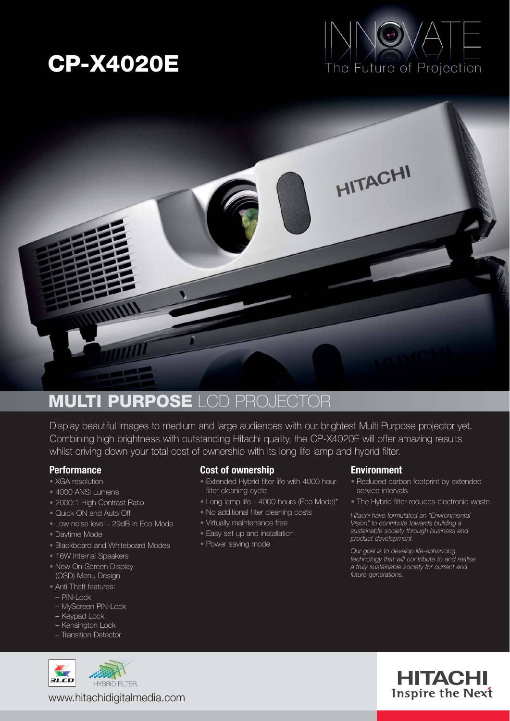# **CP-X4020E**





### **MULTI PURPOSE** LCD PROJECTOR

Display beautiful images to medium and large audiences with our brightest Multi Purpose projector yet. Combining high brightness with outstanding Hitachi quality, the CP-X4020E will offer amazing results whilst driving down your total cost of ownership with its long life lamp and hybrid filter.

#### **Performance**

- XGA resolution
- 4000 ANSI Lumens
- 2000:1 High Contrast Ratio
- Quick ON and Auto Off
- Low noise level 29dB in Eco Mode
- Daytime Mode
- Blackboard and Whiteboard Modes
- 16W Internal Speakers
- New On-Screen Display (OSD) Menu Design
- Anti Theft features:
- PIN-Lock
- MyScreen PIN-Lock
- Keypad Lock
- Kensington Lock
- Transition Detector



**HYBRID FILTER** www.hitachidigitalmedia.com

#### **Cost of ownership**

- Extended Hybrid filter life with 4000 hour filter cleaning cycle
- Long lamp life 4000 hours (Eco Mode)\*
- No additional filter cleaning costs
- Virtually maintenance free
- Easy set up and installation
- Power saving mode

#### **Environment**

- Reduced carbon footprint by extended service intervals
- The Hybrid filter reduces electronic waste

*Hitachi have formulated an "Environmental Vision" to contribute towards building a sustainable society through business and product development.*

*Our goal is to develop life-enhancing technology that will contribute to and realise a truly sustainable society for current and future generations.*